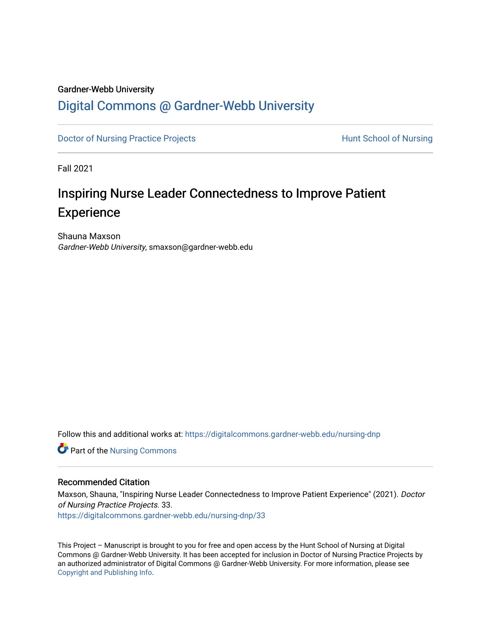#### Gardner-Webb University

## [Digital Commons @ Gardner-Webb University](https://digitalcommons.gardner-webb.edu/)

[Doctor of Nursing Practice Projects](https://digitalcommons.gardner-webb.edu/nursing-dnp) **Exercise Exercise Serverse Hunt School of Nursing** 

Fall 2021

# Inspiring Nurse Leader Connectedness to Improve Patient **Experience**

Shauna Maxson Gardner-Webb University, smaxson@gardner-webb.edu

Follow this and additional works at: [https://digitalcommons.gardner-webb.edu/nursing-dnp](https://digitalcommons.gardner-webb.edu/nursing-dnp?utm_source=digitalcommons.gardner-webb.edu%2Fnursing-dnp%2F33&utm_medium=PDF&utm_campaign=PDFCoverPages) 

**Part of the Nursing Commons** 

### Recommended Citation

Maxson, Shauna, "Inspiring Nurse Leader Connectedness to Improve Patient Experience" (2021). Doctor of Nursing Practice Projects. 33. [https://digitalcommons.gardner-webb.edu/nursing-dnp/33](https://digitalcommons.gardner-webb.edu/nursing-dnp/33?utm_source=digitalcommons.gardner-webb.edu%2Fnursing-dnp%2F33&utm_medium=PDF&utm_campaign=PDFCoverPages)

This Project – Manuscript is brought to you for free and open access by the Hunt School of Nursing at Digital Commons @ Gardner-Webb University. It has been accepted for inclusion in Doctor of Nursing Practice Projects by an authorized administrator of Digital Commons @ Gardner-Webb University. For more information, please see [Copyright and Publishing Info.](https://digitalcommons.gardner-webb.edu/copyright_publishing.html)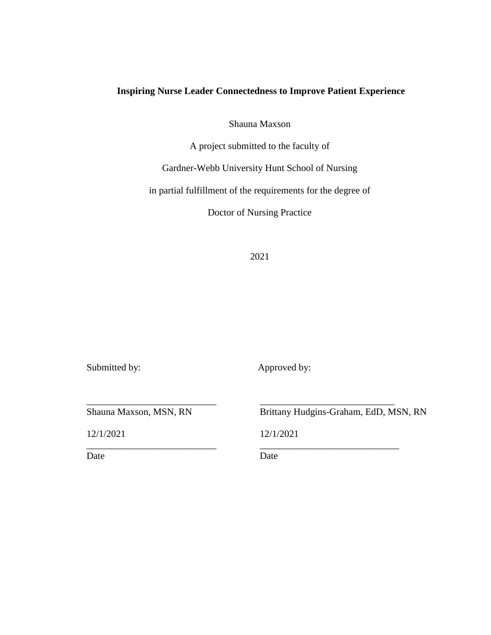## **Inspiring Nurse Leader Connectedness to Improve Patient Experience**

Shauna Maxson

A project submitted to the faculty of

Gardner-Webb University Hunt School of Nursing

in partial fulfillment of the requirements for the degree of

Doctor of Nursing Practice

2021

Submitted by: Approved by:

12/1/2021 12/1/2021

Date Date Date

Shauna Maxson, MSN, RN Brittany Hudgins-Graham, EdD, MSN, RN

\_\_\_\_\_\_\_\_\_\_\_\_\_\_\_\_\_\_\_\_\_\_\_\_\_\_\_ \_\_\_\_\_\_\_\_\_\_\_\_\_\_\_\_\_\_\_\_\_\_\_\_\_\_\_\_

\_\_\_\_\_\_\_\_\_\_\_\_\_\_\_\_\_\_\_\_\_\_\_\_\_\_\_ \_\_\_\_\_\_\_\_\_\_\_\_\_\_\_\_\_\_\_\_\_\_\_\_\_\_\_\_\_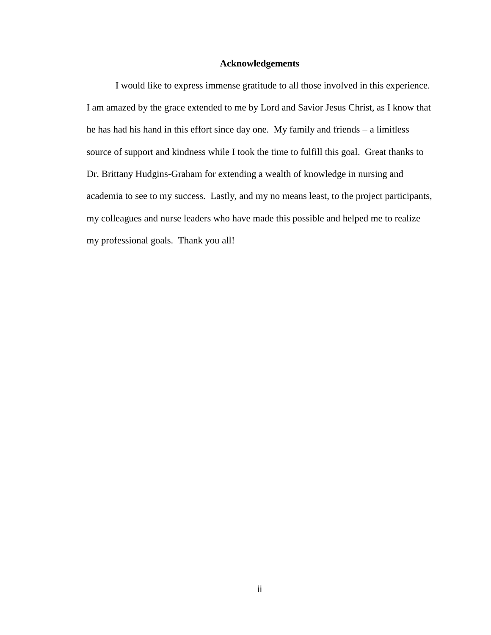### **Acknowledgements**

I would like to express immense gratitude to all those involved in this experience. I am amazed by the grace extended to me by Lord and Savior Jesus Christ, as I know that he has had his hand in this effort since day one. My family and friends – a limitless source of support and kindness while I took the time to fulfill this goal. Great thanks to Dr. Brittany Hudgins-Graham for extending a wealth of knowledge in nursing and academia to see to my success. Lastly, and my no means least, to the project participants, my colleagues and nurse leaders who have made this possible and helped me to realize my professional goals. Thank you all!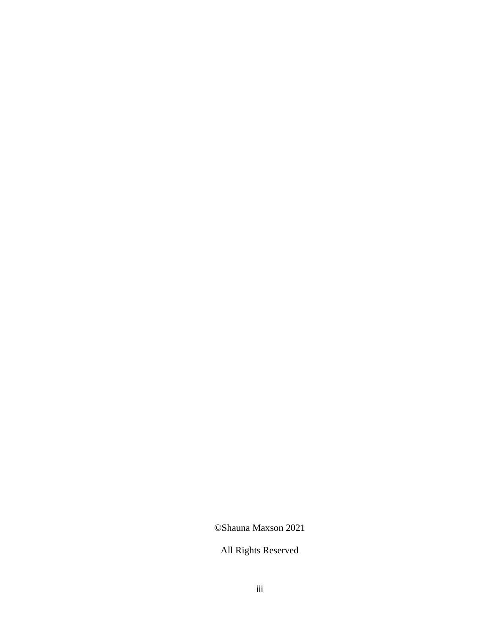©Shauna Maxson 2021

All Rights Reserved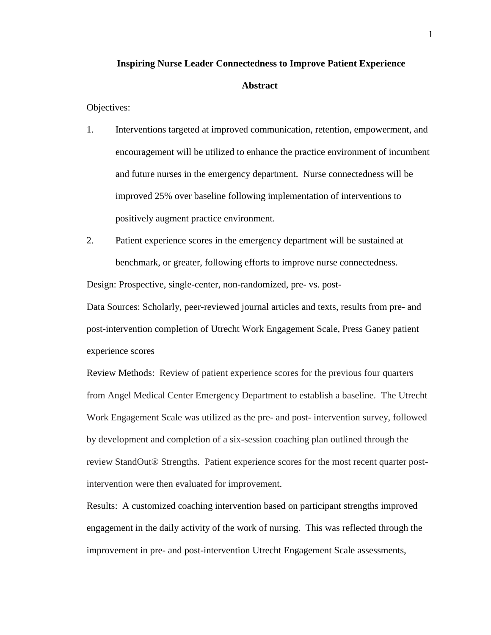#### **Inspiring Nurse Leader Connectedness to Improve Patient Experience**

#### **Abstract**

Objectives:

- 1. Interventions targeted at improved communication, retention, empowerment, and encouragement will be utilized to enhance the practice environment of incumbent and future nurses in the emergency department. Nurse connectedness will be improved 25% over baseline following implementation of interventions to positively augment practice environment.
- 2. Patient experience scores in the emergency department will be sustained at benchmark, or greater, following efforts to improve nurse connectedness.

Design: Prospective, single-center, non-randomized, pre- vs. post-

Data Sources: Scholarly, peer-reviewed journal articles and texts, results from pre- and post-intervention completion of Utrecht Work Engagement Scale, Press Ganey patient experience scores

Review Methods: Review of patient experience scores for the previous four quarters from Angel Medical Center Emergency Department to establish a baseline. The Utrecht Work Engagement Scale was utilized as the pre- and post- intervention survey, followed by development and completion of a six-session coaching plan outlined through the review StandOut® Strengths. Patient experience scores for the most recent quarter postintervention were then evaluated for improvement.

Results: A customized coaching intervention based on participant strengths improved engagement in the daily activity of the work of nursing. This was reflected through the improvement in pre- and post-intervention Utrecht Engagement Scale assessments,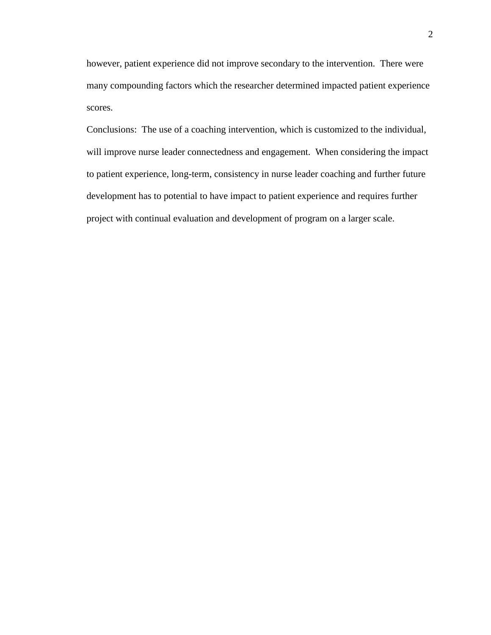however, patient experience did not improve secondary to the intervention. There were many compounding factors which the researcher determined impacted patient experience scores.

Conclusions: The use of a coaching intervention, which is customized to the individual, will improve nurse leader connectedness and engagement. When considering the impact to patient experience, long-term, consistency in nurse leader coaching and further future development has to potential to have impact to patient experience and requires further project with continual evaluation and development of program on a larger scale.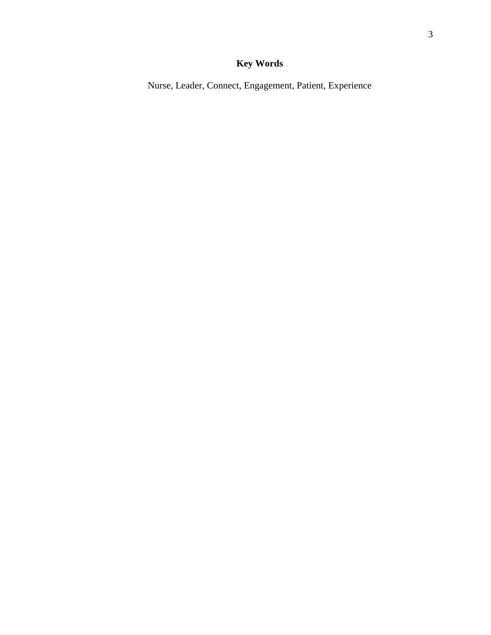## **Key Words**

Nurse, Leader, Connect, Engagement, Patient, Experience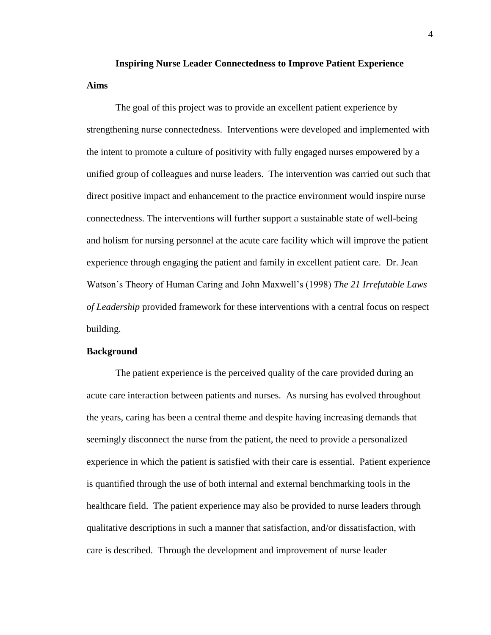## **Inspiring Nurse Leader Connectedness to Improve Patient Experience Aims**

The goal of this project was to provide an excellent patient experience by strengthening nurse connectedness. Interventions were developed and implemented with the intent to promote a culture of positivity with fully engaged nurses empowered by a unified group of colleagues and nurse leaders. The intervention was carried out such that direct positive impact and enhancement to the practice environment would inspire nurse connectedness. The interventions will further support a sustainable state of well-being and holism for nursing personnel at the acute care facility which will improve the patient experience through engaging the patient and family in excellent patient care. Dr. Jean Watson's Theory of Human Caring and John Maxwell's (1998) *The 21 Irrefutable Laws of Leadership* provided framework for these interventions with a central focus on respect building.

#### **Background**

The patient experience is the perceived quality of the care provided during an acute care interaction between patients and nurses. As nursing has evolved throughout the years, caring has been a central theme and despite having increasing demands that seemingly disconnect the nurse from the patient, the need to provide a personalized experience in which the patient is satisfied with their care is essential. Patient experience is quantified through the use of both internal and external benchmarking tools in the healthcare field. The patient experience may also be provided to nurse leaders through qualitative descriptions in such a manner that satisfaction, and/or dissatisfaction, with care is described. Through the development and improvement of nurse leader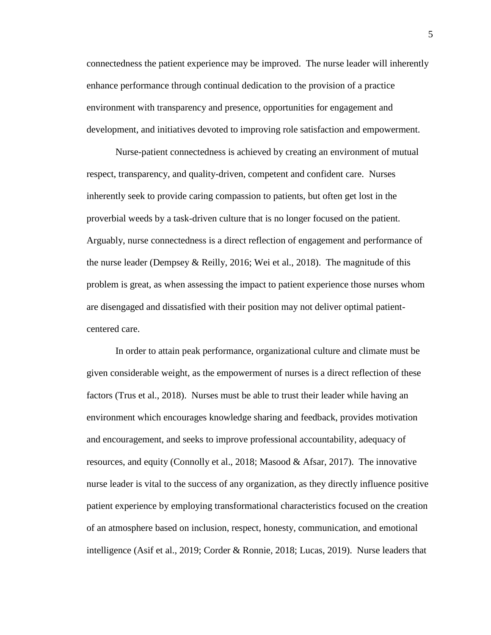connectedness the patient experience may be improved. The nurse leader will inherently enhance performance through continual dedication to the provision of a practice environment with transparency and presence, opportunities for engagement and development, and initiatives devoted to improving role satisfaction and empowerment.

Nurse-patient connectedness is achieved by creating an environment of mutual respect, transparency, and quality-driven, competent and confident care. Nurses inherently seek to provide caring compassion to patients, but often get lost in the proverbial weeds by a task-driven culture that is no longer focused on the patient. Arguably, nurse connectedness is a direct reflection of engagement and performance of the nurse leader (Dempsey & Reilly, 2016; Wei et al., 2018). The magnitude of this problem is great, as when assessing the impact to patient experience those nurses whom are disengaged and dissatisfied with their position may not deliver optimal patientcentered care.

In order to attain peak performance, organizational culture and climate must be given considerable weight, as the empowerment of nurses is a direct reflection of these factors (Trus et al., 2018). Nurses must be able to trust their leader while having an environment which encourages knowledge sharing and feedback, provides motivation and encouragement, and seeks to improve professional accountability, adequacy of resources, and equity (Connolly et al., 2018; Masood & Afsar, 2017). The innovative nurse leader is vital to the success of any organization, as they directly influence positive patient experience by employing transformational characteristics focused on the creation of an atmosphere based on inclusion, respect, honesty, communication, and emotional intelligence (Asif et al., 2019; Corder & Ronnie, 2018; Lucas, 2019). Nurse leaders that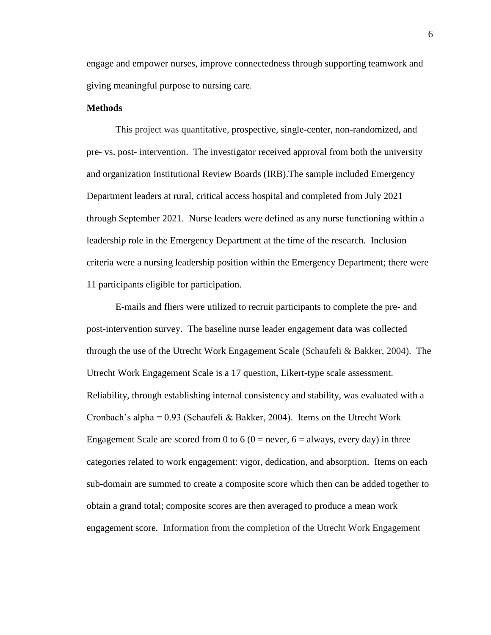engage and empower nurses, improve connectedness through supporting teamwork and giving meaningful purpose to nursing care.

#### **Methods**

This project was quantitative, prospective, single-center, non-randomized, and pre- vs. post- intervention. The investigator received approval from both the university and organization Institutional Review Boards (IRB).The sample included Emergency Department leaders at rural, critical access hospital and completed from July 2021 through September 2021. Nurse leaders were defined as any nurse functioning within a leadership role in the Emergency Department at the time of the research. Inclusion criteria were a nursing leadership position within the Emergency Department; there were 11 participants eligible for participation.

E-mails and fliers were utilized to recruit participants to complete the pre- and post-intervention survey. The baseline nurse leader engagement data was collected through the use of the Utrecht Work Engagement Scale (Schaufeli & Bakker, 2004). The Utrecht Work Engagement Scale is a 17 question, Likert-type scale assessment. Reliability, through establishing internal consistency and stability, was evaluated with a Cronbach's alpha = 0.93 (Schaufeli & Bakker, 2004). Items on the Utrecht Work Engagement Scale are scored from 0 to 6 ( $0 =$  never,  $6 =$  always, every day) in three categories related to work engagement: vigor, dedication, and absorption. Items on each sub-domain are summed to create a composite score which then can be added together to obtain a grand total; composite scores are then averaged to produce a mean work engagement score. Information from the completion of the Utrecht Work Engagement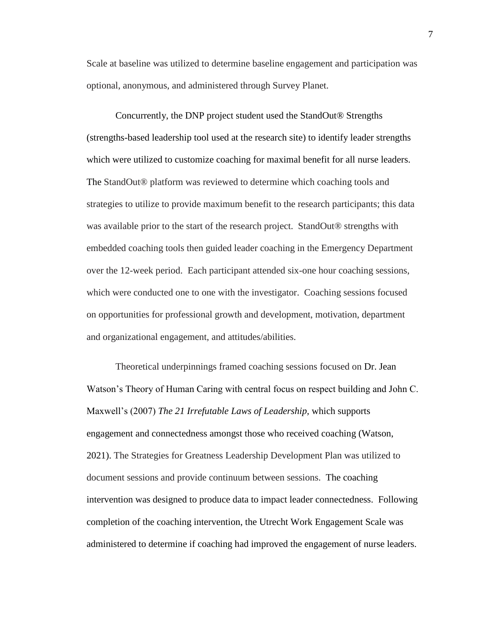Scale at baseline was utilized to determine baseline engagement and participation was optional, anonymous, and administered through Survey Planet.

Concurrently, the DNP project student used the StandOut® Strengths (strengths-based leadership tool used at the research site) to identify leader strengths which were utilized to customize coaching for maximal benefit for all nurse leaders. The StandOut® platform was reviewed to determine which coaching tools and strategies to utilize to provide maximum benefit to the research participants; this data was available prior to the start of the research project. StandOut® strengths with embedded coaching tools then guided leader coaching in the Emergency Department over the 12-week period. Each participant attended six-one hour coaching sessions, which were conducted one to one with the investigator. Coaching sessions focused on opportunities for professional growth and development, motivation, department and organizational engagement, and attitudes/abilities.

Theoretical underpinnings framed coaching sessions focused on Dr. Jean Watson's Theory of Human Caring with central focus on respect building and John C. Maxwell's (2007) *The 21 Irrefutable Laws of Leadership,* which supports engagement and connectedness amongst those who received coaching (Watson, 2021). The Strategies for Greatness Leadership Development Plan was utilized to document sessions and provide continuum between sessions. The coaching intervention was designed to produce data to impact leader connectedness. Following completion of the coaching intervention, the Utrecht Work Engagement Scale was administered to determine if coaching had improved the engagement of nurse leaders.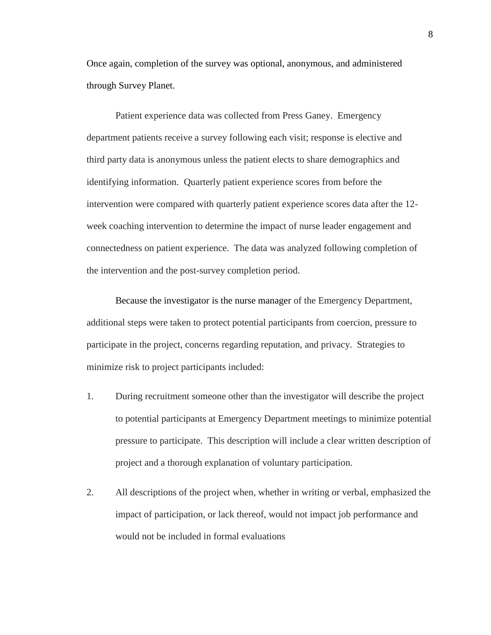Once again, completion of the survey was optional, anonymous, and administered through Survey Planet.

Patient experience data was collected from Press Ganey. Emergency department patients receive a survey following each visit; response is elective and third party data is anonymous unless the patient elects to share demographics and identifying information. Quarterly patient experience scores from before the intervention were compared with quarterly patient experience scores data after the 12 week coaching intervention to determine the impact of nurse leader engagement and connectedness on patient experience. The data was analyzed following completion of the intervention and the post-survey completion period.

Because the investigator is the nurse manager of the Emergency Department, additional steps were taken to protect potential participants from coercion, pressure to participate in the project, concerns regarding reputation, and privacy. Strategies to minimize risk to project participants included:

- 1. During recruitment someone other than the investigator will describe the project to potential participants at Emergency Department meetings to minimize potential pressure to participate. This description will include a clear written description of project and a thorough explanation of voluntary participation.
- 2. All descriptions of the project when, whether in writing or verbal, emphasized the impact of participation, or lack thereof, would not impact job performance and would not be included in formal evaluations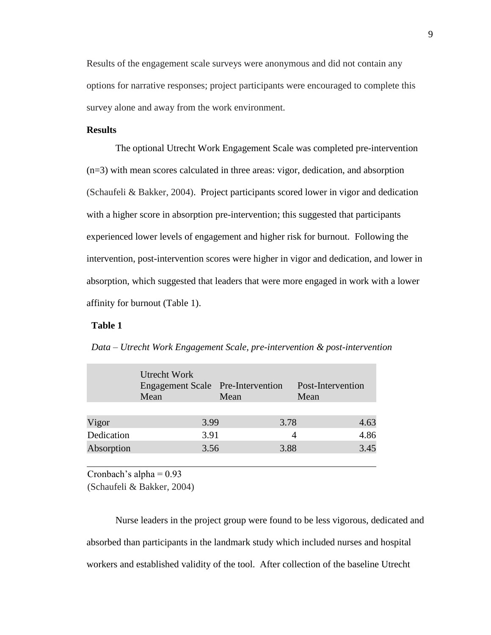Results of the engagement scale surveys were anonymous and did not contain any options for narrative responses; project participants were encouraged to complete this survey alone and away from the work environment.

### **Results**

The optional Utrecht Work Engagement Scale was completed pre-intervention (n=3) with mean scores calculated in three areas: vigor, dedication, and absorption (Schaufeli & Bakker, 2004). Project participants scored lower in vigor and dedication with a higher score in absorption pre-intervention; this suggested that participants experienced lower levels of engagement and higher risk for burnout. Following the intervention, post-intervention scores were higher in vigor and dedication, and lower in absorption, which suggested that leaders that were more engaged in work with a lower affinity for burnout (Table 1).

#### **Table 1**

|            | Utrecht Work<br>Engagement Scale Pre-Intervention<br>Mean | Mean | Post-Intervention<br>Mean |      |
|------------|-----------------------------------------------------------|------|---------------------------|------|
|            |                                                           |      |                           |      |
| Vigor      | 3.99                                                      | 3.78 |                           | 4.63 |
| Dedication | 3.91                                                      |      | 4                         | 4.86 |
| Absorption | 3.56                                                      | 3.88 |                           | 3.45 |

*Data – Utrecht Work Engagement Scale, pre-intervention & post-intervention*

Cronbach's alpha  $= 0.93$ 

(Schaufeli & Bakker, 2004)

Nurse leaders in the project group were found to be less vigorous, dedicated and absorbed than participants in the landmark study which included nurses and hospital workers and established validity of the tool. After collection of the baseline Utrecht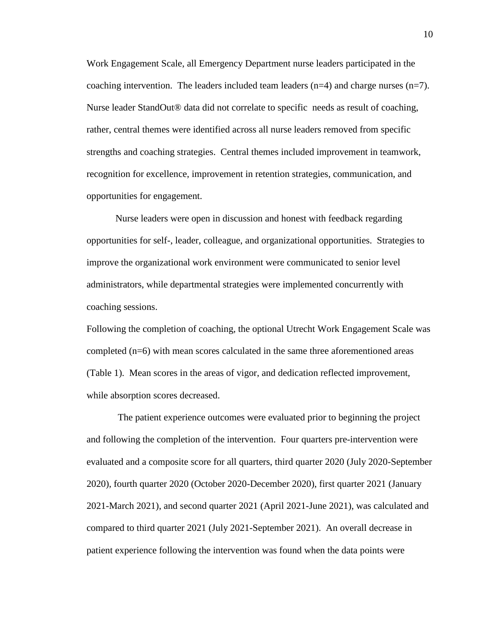Work Engagement Scale, all Emergency Department nurse leaders participated in the coaching intervention. The leaders included team leaders  $(n=4)$  and charge nurses  $(n=7)$ . Nurse leader StandOut® data did not correlate to specific needs as result of coaching, rather, central themes were identified across all nurse leaders removed from specific strengths and coaching strategies. Central themes included improvement in teamwork, recognition for excellence, improvement in retention strategies, communication, and opportunities for engagement.

Nurse leaders were open in discussion and honest with feedback regarding opportunities for self-, leader, colleague, and organizational opportunities. Strategies to improve the organizational work environment were communicated to senior level administrators, while departmental strategies were implemented concurrently with coaching sessions.

Following the completion of coaching, the optional Utrecht Work Engagement Scale was completed (n=6) with mean scores calculated in the same three aforementioned areas (Table 1). Mean scores in the areas of vigor, and dedication reflected improvement, while absorption scores decreased.

The patient experience outcomes were evaluated prior to beginning the project and following the completion of the intervention. Four quarters pre-intervention were evaluated and a composite score for all quarters, third quarter 2020 (July 2020-September 2020), fourth quarter 2020 (October 2020-December 2020), first quarter 2021 (January 2021-March 2021), and second quarter 2021 (April 2021-June 2021), was calculated and compared to third quarter 2021 (July 2021-September 2021). An overall decrease in patient experience following the intervention was found when the data points were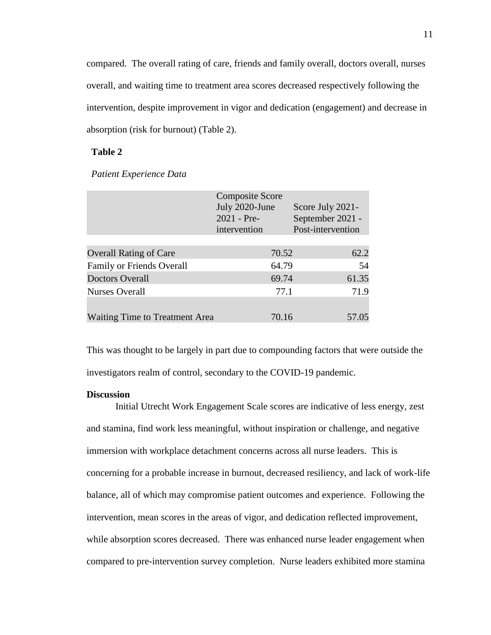compared. The overall rating of care, friends and family overall, doctors overall, nurses overall, and waiting time to treatment area scores decreased respectively following the intervention, despite improvement in vigor and dedication (engagement) and decrease in absorption (risk for burnout) (Table 2).

## **Table 2**

|  | Patient Experience Data |  |
|--|-------------------------|--|
|--|-------------------------|--|

|                                | <b>Composite Score</b><br>July 2020-June<br>$2021 - Pre-$<br>intervention | Score July 2021-<br>September 2021 -<br>Post-intervention |
|--------------------------------|---------------------------------------------------------------------------|-----------------------------------------------------------|
| <b>Overall Rating of Care</b>  | 70.52                                                                     | 62.2                                                      |
| Family or Friends Overall      | 64.79                                                                     | 54                                                        |
| <b>Doctors Overall</b>         | 69.74                                                                     | 61.35                                                     |
| <b>Nurses Overall</b>          | 77.1                                                                      | 71.9                                                      |
| Waiting Time to Treatment Area | 70.16                                                                     | 57.05                                                     |

This was thought to be largely in part due to compounding factors that were outside the investigators realm of control, secondary to the COVID-19 pandemic.

#### **Discussion**

Initial Utrecht Work Engagement Scale scores are indicative of less energy, zest and stamina, find work less meaningful, without inspiration or challenge, and negative immersion with workplace detachment concerns across all nurse leaders. This is concerning for a probable increase in burnout, decreased resiliency, and lack of work-life balance, all of which may compromise patient outcomes and experience. Following the intervention, mean scores in the areas of vigor, and dedication reflected improvement, while absorption scores decreased. There was enhanced nurse leader engagement when compared to pre-intervention survey completion. Nurse leaders exhibited more stamina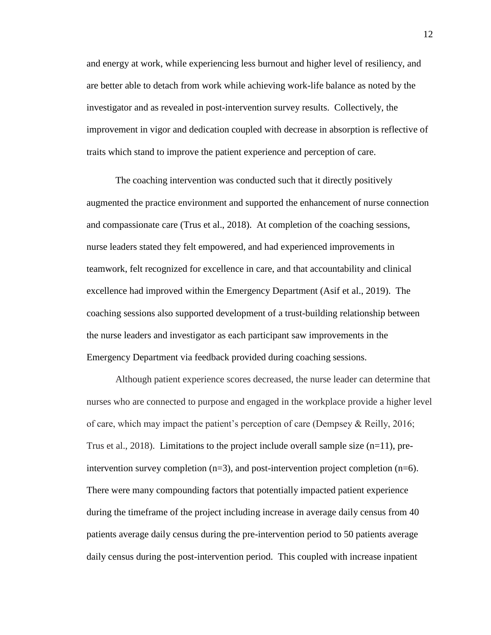and energy at work, while experiencing less burnout and higher level of resiliency, and are better able to detach from work while achieving work-life balance as noted by the investigator and as revealed in post-intervention survey results. Collectively, the improvement in vigor and dedication coupled with decrease in absorption is reflective of traits which stand to improve the patient experience and perception of care.

The coaching intervention was conducted such that it directly positively augmented the practice environment and supported the enhancement of nurse connection and compassionate care (Trus et al., 2018). At completion of the coaching sessions, nurse leaders stated they felt empowered, and had experienced improvements in teamwork, felt recognized for excellence in care, and that accountability and clinical excellence had improved within the Emergency Department (Asif et al., 2019). The coaching sessions also supported development of a trust-building relationship between the nurse leaders and investigator as each participant saw improvements in the Emergency Department via feedback provided during coaching sessions.

Although patient experience scores decreased, the nurse leader can determine that nurses who are connected to purpose and engaged in the workplace provide a higher level of care, which may impact the patient's perception of care (Dempsey & Reilly, 2016; Trus et al., 2018). Limitations to the project include overall sample size  $(n=11)$ , preintervention survey completion (n=3), and post-intervention project completion (n=6). There were many compounding factors that potentially impacted patient experience during the timeframe of the project including increase in average daily census from 40 patients average daily census during the pre-intervention period to 50 patients average daily census during the post-intervention period. This coupled with increase inpatient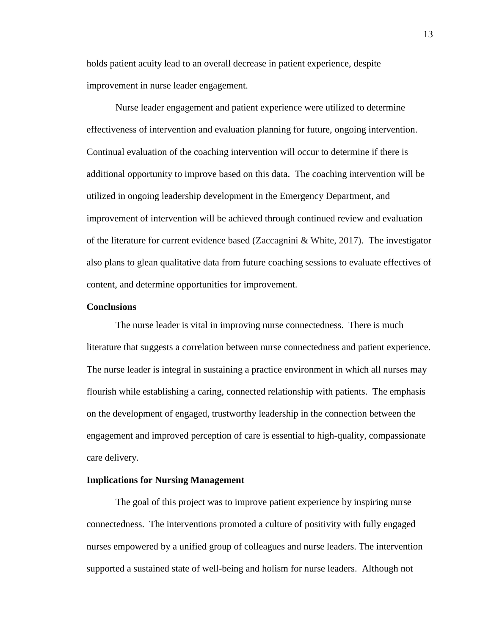holds patient acuity lead to an overall decrease in patient experience, despite improvement in nurse leader engagement.

Nurse leader engagement and patient experience were utilized to determine effectiveness of intervention and evaluation planning for future, ongoing intervention. Continual evaluation of the coaching intervention will occur to determine if there is additional opportunity to improve based on this data. The coaching intervention will be utilized in ongoing leadership development in the Emergency Department, and improvement of intervention will be achieved through continued review and evaluation of the literature for current evidence based (Zaccagnini & White, 2017). The investigator also plans to glean qualitative data from future coaching sessions to evaluate effectives of content, and determine opportunities for improvement.

#### **Conclusions**

The nurse leader is vital in improving nurse connectedness. There is much literature that suggests a correlation between nurse connectedness and patient experience. The nurse leader is integral in sustaining a practice environment in which all nurses may flourish while establishing a caring, connected relationship with patients. The emphasis on the development of engaged, trustworthy leadership in the connection between the engagement and improved perception of care is essential to high-quality, compassionate care delivery.

#### **Implications for Nursing Management**

The goal of this project was to improve patient experience by inspiring nurse connectedness. The interventions promoted a culture of positivity with fully engaged nurses empowered by a unified group of colleagues and nurse leaders. The intervention supported a sustained state of well-being and holism for nurse leaders. Although not

13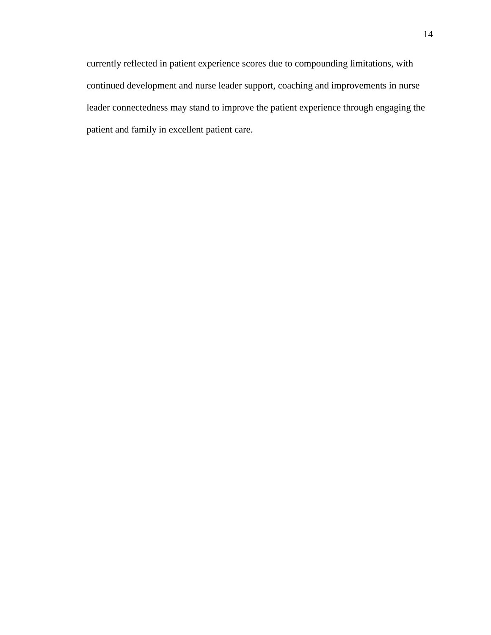currently reflected in patient experience scores due to compounding limitations, with continued development and nurse leader support, coaching and improvements in nurse leader connectedness may stand to improve the patient experience through engaging the patient and family in excellent patient care.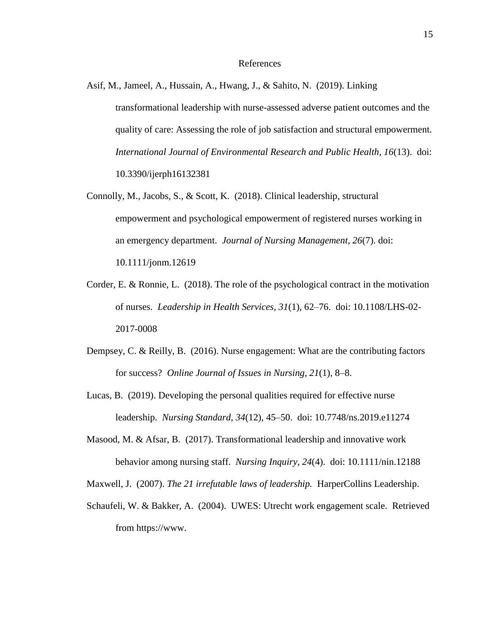#### References

- Asif, M., Jameel, A., Hussain, A., Hwang, J., & Sahito, N. (2019). Linking transformational leadership with nurse-assessed adverse patient outcomes and the quality of care: Assessing the role of job satisfaction and structural empowerment. *International Journal of Environmental Research and Public Health, 16*(13). doi: 10.3390/ijerph16132381
- Connolly, M., Jacobs, S., & Scott, K. (2018). Clinical leadership, structural empowerment and psychological empowerment of registered nurses working in an emergency department. *Journal of Nursing Management, 26*(7). doi: 10.1111/jonm.12619
- Corder, E. & Ronnie, L. (2018). The role of the psychological contract in the motivation of nurses. *Leadership in Health Services, 31*(1), 62–76. doi: 10.1108/LHS-02- 2017-0008
- Dempsey, C. & Reilly, B. (2016). Nurse engagement: What are the contributing factors for success? *Online Journal of Issues in Nursing, 21*(1), 8–8.
- Lucas, B. (2019). Developing the personal qualities required for effective nurse leadership. *Nursing Standard, 34*(12), 45–50. doi: 10.7748/ns.2019.e11274
- Masood, M. & Afsar, B. (2017). Transformational leadership and innovative work behavior among nursing staff. *Nursing Inquiry, 24*(4). doi: 10.1111/nin.12188
- Maxwell, J. (2007). *The 21 irrefutable laws of leadership.* HarperCollins Leadership.
- Schaufeli, W. & Bakker, A. (2004). UWES: Utrecht work engagement scale. Retrieved from https://www.